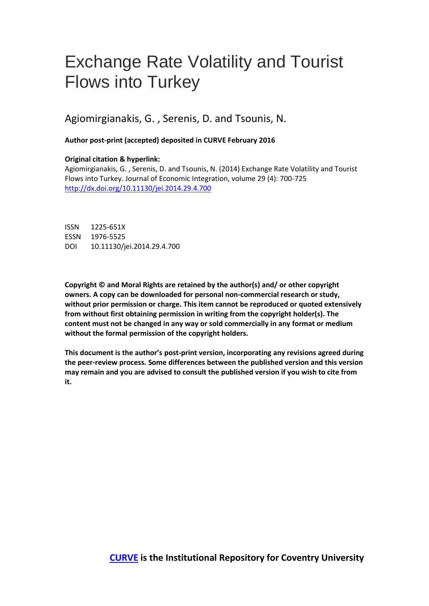# Exchange Rate Volatility and Tourist Flows into Turkey

# Agiomirgianakis, G. , Serenis, D. and Tsounis, N.

# **Author post-print (accepted) deposited in CURVE February 2016**

# **Original citation & hyperlink:**

Agiomirgianakis, G. , Serenis, D. and Tsounis, N. (2014) Exchange Rate Volatility and Tourist Flows into Turkey. Journal of Economic Integration, volume 29 (4): 700-725 <http://dx.doi.org/10.11130/jei.2014.29.4.700>

ISSN 1225-651X ESSN 1976-5525 DOI 10.11130/jei.2014.29.4.700

**Copyright © and Moral Rights are retained by the author(s) and/ or other copyright owners. A copy can be downloaded for personal non-commercial research or study, without prior permission or charge. This item cannot be reproduced or quoted extensively from without first obtaining permission in writing from the copyright holder(s). The content must not be changed in any way or sold commercially in any format or medium without the formal permission of the copyright holders.** 

**This document is the author's post-print version, incorporating any revisions agreed during the peer-review process. Some differences between the published version and this version may remain and you are advised to consult the published version if you wish to cite from it.**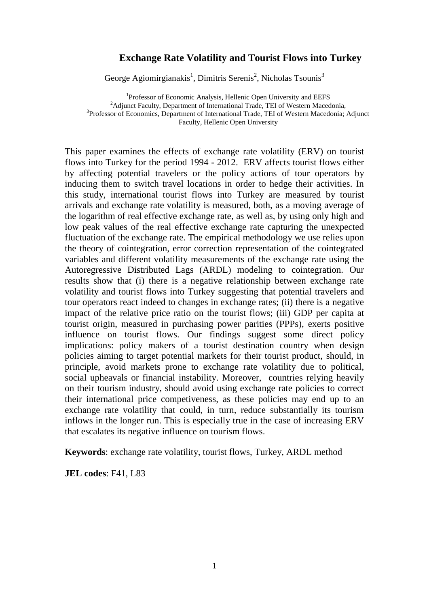# **Exchange Rate Volatility and Tourist Flows into Turkey**

George Agiomirgianakis<sup>1</sup>, Dimitris Serenis<sup>2</sup>, Nicholas Tsounis<sup>3</sup>

<sup>1</sup>Professor of Economic Analysis, Hellenic Open University and EEFS <sup>2</sup>Adjunct Faculty, Department of International Trade, TEI of Western Macedonia, <sup>3</sup>Professor of Economics, Department of International Trade, TEI of Western Macedonia; Adjunct Faculty, Hellenic Open University

This paper examines the effects of exchange rate volatility (ERV) on tourist flows into Turkey for the period 1994 - 2012. ERV affects tourist flows either by affecting potential travelers or the policy actions of tour operators by inducing them to switch travel locations in order to hedge their activities. In this study, international tourist flows into Turkey are measured by tourist arrivals and exchange rate volatility is measured, both, as a moving average of the logarithm of real effective exchange rate, as well as, by using only high and low peak values of the real effective exchange rate capturing the unexpected fluctuation of the exchange rate. The empirical methodology we use relies upon the theory of cointegration, error correction representation of the cointegrated variables and different volatility measurements of the exchange rate using the Autoregressive Distributed Lags (ARDL) modeling to cointegration. Our results show that (i) there is a negative relationship between exchange rate volatility and tourist flows into Turkey suggesting that potential travelers and tour operators react indeed to changes in exchange rates; (ii) there is a negative impact of the relative price ratio on the tourist flows; (iii) GDP per capita at tourist origin, measured in purchasing power parities (PPPs), exerts positive influence on tourist flows. Our findings suggest some direct policy implications: policy makers of a tourist destination country when design policies aiming to target potential markets for their tourist product, should, in principle, avoid markets prone to exchange rate volatility due to political, social upheavals or financial instability. Moreover, countries relying heavily on their tourism industry, should avoid using exchange rate policies to correct their international price competiveness, as these policies may end up to an exchange rate volatility that could, in turn, reduce substantially its tourism inflows in the longer run. This is especially true in the case of increasing ERV that escalates its negative influence on tourism flows.

**Keywords**: exchange rate volatility, tourist flows, Turkey, ARDL method

**JEL codes**: F41, L83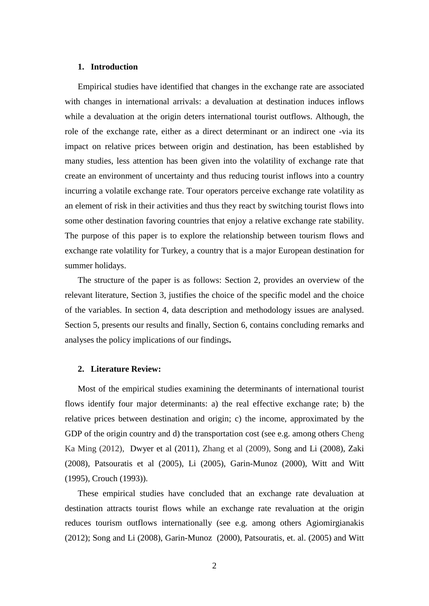## **1. Introduction**

Empirical studies have identified that changes in the exchange rate are associated with changes in international arrivals: a devaluation at destination induces inflows while a devaluation at the origin deters international tourist outflows. Although, the role of the exchange rate, either as a direct determinant or an indirect one -via its impact on relative prices between origin and destination, has been established by many studies, less attention has been given into the volatility of exchange rate that create an environment of uncertainty and thus reducing tourist inflows into a country incurring a volatile exchange rate. Tour operators perceive exchange rate volatility as an element of risk in their activities and thus they react by switching tourist flows into some other destination favoring countries that enjoy a relative exchange rate stability. The purpose of this paper is to explore the relationship between tourism flows and exchange rate volatility for Turkey, a country that is a major European destination for summer holidays.

The structure of the paper is as follows: Section 2, provides an overview of the relevant literature, Section 3, justifies the choice of the specific model and the choice of the variables. In section 4, data description and methodology issues are analysed. Section 5, presents our results and finally, Section 6, contains concluding remarks and analyses the policy implications of our findings**.**

#### **2. Literature Review:**

Most of the empirical studies examining the determinants of international tourist flows identify four major determinants: a) the real effective exchange rate; b) the relative prices between destination and origin; c) the income, approximated by the GDP of the origin country and d) the transportation cost (see e.g. among others Cheng Ka Ming (2012), Dwyer et al (2011), Zhang et al (2009), Song and Li (2008), Zaki (2008), Patsouratis et al (2005), Li (2005), Garin-Munoz (2000), Witt and Witt (1995), Crouch (1993)).

These empirical studies have concluded that an exchange rate devaluation at destination attracts tourist flows while an exchange rate revaluation at the origin reduces tourism outflows internationally (see e.g. among others Agiomirgianakis (2012); Song and Li (2008), Garin-Munoz (2000), Patsouratis, et. al. (2005) and Witt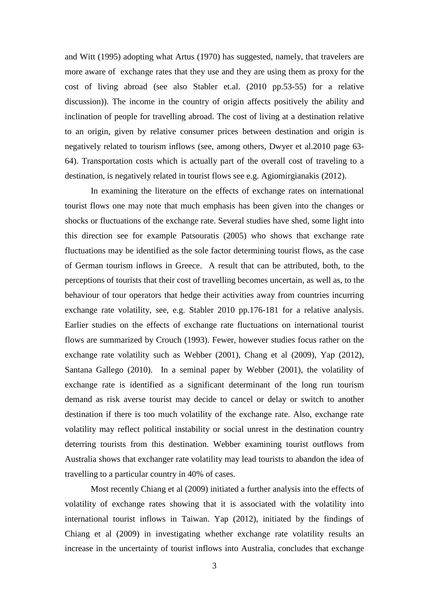and Witt (1995) adopting what Artus (1970) has suggested, namely, that travelers are more aware of exchange rates that they use and they are using them as proxy for the cost of living abroad (see also Stabler et.al. (2010 pp.53-55) for a relative discussion)). The income in the country of origin affects positively the ability and inclination of people for travelling abroad. The cost of living at a destination relative to an origin, given by relative consumer prices between destination and origin is negatively related to tourism inflows (see, among others, Dwyer et al.2010 page 63- 64). Transportation costs which is actually part of the overall cost of traveling to a destination, is negatively related in tourist flows see e.g. Agiomirgianakis (2012).

In examining the literature on the effects of exchange rates on international tourist flows one may note that much emphasis has been given into the changes or shocks or fluctuations of the exchange rate. Several studies have shed, some light into this direction see for example Patsouratis (2005) who shows that exchange rate fluctuations may be identified as the sole factor determining tourist flows, as the case of German tourism inflows in Greece. A result that can be attributed, both, to the perceptions of tourists that their cost of travelling becomes uncertain, as well as, to the behaviour of tour operators that hedge their activities away from countries incurring exchange rate volatility, see, e.g. Stabler 2010 pp.176-181 for a relative analysis. Earlier studies on the effects of exchange rate fluctuations on international tourist flows are summarized by Crouch (1993). Fewer, however studies focus rather on the exchange rate volatility such as Webber (2001), Chang et al (2009), Yap (2012), Santana Gallego (2010). In a seminal paper by Webber (2001), the volatility of exchange rate is identified as a significant determinant of the long run tourism demand as risk averse tourist may decide to cancel or delay or switch to another destination if there is too much volatility of the exchange rate. Also, exchange rate volatility may reflect political instability or social unrest in the destination country deterring tourists from this destination. Webber examining tourist outflows from Australia shows that exchanger rate volatility may lead tourists to abandon the idea of travelling to a particular country in 40% of cases.

Most recently Chiang et al (2009) initiated a further analysis into the effects of volatility of exchange rates showing that it is associated with the volatility into international tourist inflows in Taiwan. Yap (2012), initiated by the findings of Chiang et al (2009) in investigating whether exchange rate volatility results an increase in the uncertainty of tourist inflows into Australia, concludes that exchange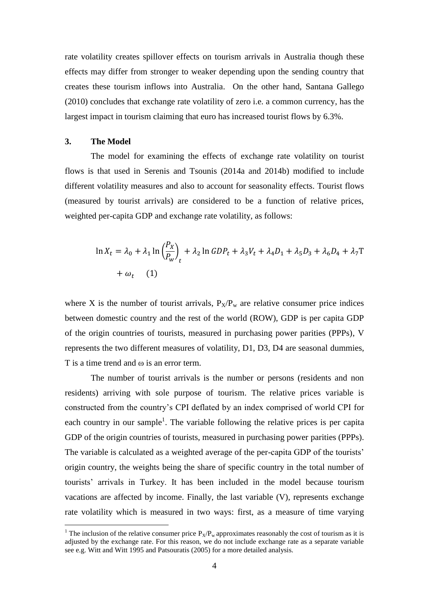rate volatility creates spillover effects on tourism arrivals in Australia though these effects may differ from stronger to weaker depending upon the sending country that creates these tourism inflows into Australia. On the other hand, Santana Gallego (2010) concludes that exchange rate volatility of zero i.e. a common currency, has the largest impact in tourism claiming that euro has increased tourist flows by 6.3%.

# **3. The Model**

<u>.</u>

The model for examining the effects of exchange rate volatility on tourist flows is that used in Serenis and Tsounis (2014a and 2014b) modified to include different volatility measures and also to account for seasonality effects. Tourist flows (measured by tourist arrivals) are considered to be a function of relative prices, weighted per-capita GDP and exchange rate volatility, as follows:

$$
\ln X_t = \lambda_0 + \lambda_1 \ln \left(\frac{P_X}{P_W}\right)_t + \lambda_2 \ln GDP_t + \lambda_3 V_t + \lambda_4 D_1 + \lambda_5 D_3 + \lambda_6 D_4 + \lambda_7 \text{T}
$$
  
+  $\omega_t$  (1)

where X is the number of tourist arrivals,  $P_X/P_w$  are relative consumer price indices between domestic country and the rest of the world (ROW), GDP is per capita GDP of the origin countries of tourists, measured in purchasing power parities (PPPs), V represents the two different measures of volatility, D1, D3, D4 are seasonal dummies, T is a time trend and  $\omega$  is an error term.

The number of tourist arrivals is the number or persons (residents and non residents) arriving with sole purpose of tourism. The relative prices variable is constructed from the country's CPI deflated by an index comprised of world CPI for each country in our sample<sup>1</sup>. The variable following the relative prices is per capita GDP of the origin countries of tourists, measured in purchasing power parities (PPPs). The variable is calculated as a weighted average of the per-capita GDP of the tourists' origin country, the weights being the share of specific country in the total number of tourists' arrivals in Turkey. It has been included in the model because tourism vacations are affected by income. Finally, the last variable (V), represents exchange rate volatility which is measured in two ways: first, as a measure of time varying

<sup>&</sup>lt;sup>1</sup> The inclusion of the relative consumer price  $P_x/P_w$  approximates reasonably the cost of tourism as it is adjusted by the exchange rate. For this reason, we do not include exchange rate as a separate variable see e.g. Witt and Witt 1995 and Patsouratis (2005) for a more detailed analysis.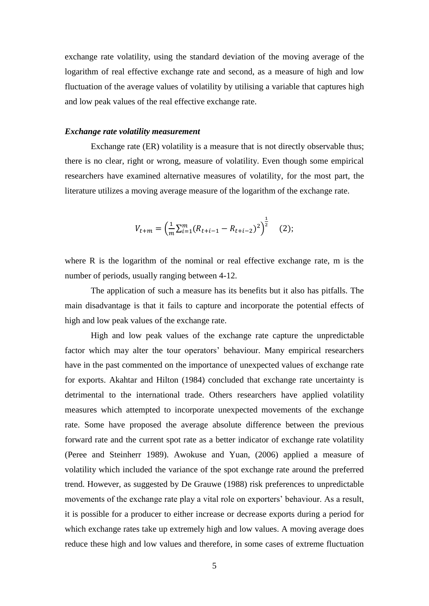exchange rate volatility, using the standard deviation of the moving average of the logarithm of real effective exchange rate and second, as a measure of high and low fluctuation of the average values of volatility by utilising a variable that captures high and low peak values of the real effective exchange rate.

# *Exchange rate volatility measurement*

Exchange rate (ER) volatility is a measure that is not directly observable thus; there is no clear, right or wrong, measure of volatility. Even though some empirical researchers have examined alternative measures of volatility, for the most part, the literature utilizes a moving average measure of the logarithm of the exchange rate.

$$
V_{t+m} = \left(\frac{1}{m}\sum_{i=1}^{m} (R_{t+i-1} - R_{t+i-2})^2\right)^{\frac{1}{2}} \quad (2);
$$

where R is the logarithm of the nominal or real effective exchange rate, m is the number of periods, usually ranging between 4-12.

The application of such a measure has its benefits but it also has pitfalls. The main disadvantage is that it fails to capture and incorporate the potential effects of high and low peak values of the exchange rate.

High and low peak values of the exchange rate capture the unpredictable factor which may alter the tour operators' behaviour. Many empirical researchers have in the past commented on the importance of unexpected values of exchange rate for exports. Akahtar and Hilton (1984) concluded that exchange rate uncertainty is detrimental to the international trade. Others researchers have applied volatility measures which attempted to incorporate unexpected movements of the exchange rate. Some have proposed the average absolute difference between the previous forward rate and the current spot rate as a better indicator of exchange rate volatility (Peree and Steinherr 1989). Awokuse and Yuan, (2006) applied a measure of volatility which included the variance of the spot exchange rate around the preferred trend. However, as suggested by De Grauwe (1988) risk preferences to unpredictable movements of the exchange rate play a vital role on exporters' behaviour. As a result, it is possible for a producer to either increase or decrease exports during a period for which exchange rates take up extremely high and low values. A moving average does reduce these high and low values and therefore, in some cases of extreme fluctuation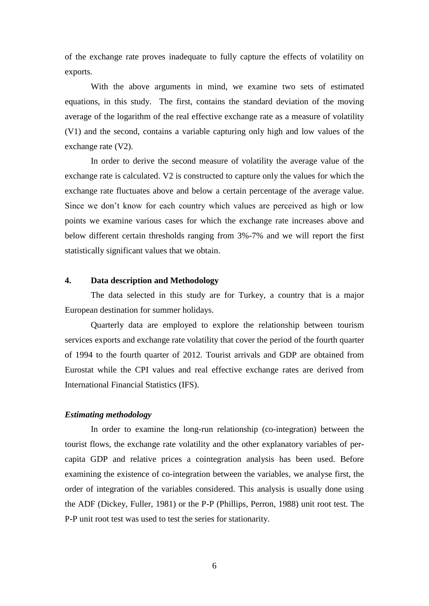of the exchange rate proves inadequate to fully capture the effects of volatility on exports.

With the above arguments in mind, we examine two sets of estimated equations, in this study. The first, contains the standard deviation of the moving average of the logarithm of the real effective exchange rate as a measure of volatility (V1) and the second, contains a variable capturing only high and low values of the exchange rate (V2).

In order to derive the second measure of volatility the average value of the exchange rate is calculated. V2 is constructed to capture only the values for which the exchange rate fluctuates above and below a certain percentage of the average value. Since we don't know for each country which values are perceived as high or low points we examine various cases for which the exchange rate increases above and below different certain thresholds ranging from 3%-7% and we will report the first statistically significant values that we obtain.

# **4. Data description and Methodology**

The data selected in this study are for Turkey, a country that is a major European destination for summer holidays.

Quarterly data are employed to explore the relationship between tourism services exports and exchange rate volatility that cover the period of the fourth quarter of 1994 to the fourth quarter of 2012. Tourist arrivals and GDP are obtained from Eurostat while the CPI values and real effective exchange rates are derived from International Financial Statistics (IFS).

# *Estimating methodology*

In order to examine the long-run relationship (co-integration) between the tourist flows, the exchange rate volatility and the other explanatory variables of percapita GDP and relative prices a cointegration analysis has been used. Before examining the existence of co-integration between the variables, we analyse first, the order of integration of the variables considered. This analysis is usually done using the ADF (Dickey, Fuller, 1981) or the P-P (Phillips, Perron, 1988) unit root test. The P-P unit root test was used to test the series for stationarity.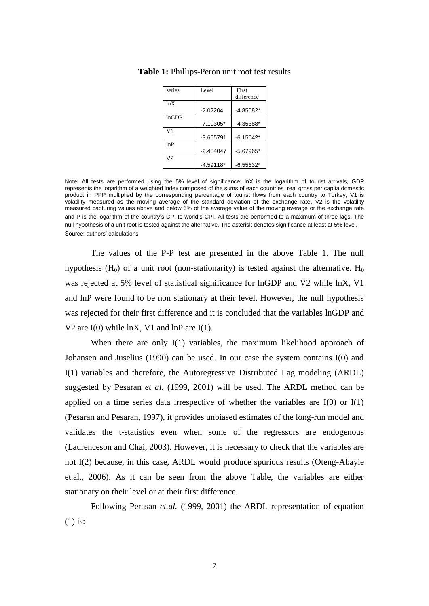| series         | <b>Level</b> | First       |
|----------------|--------------|-------------|
|                |              | difference  |
| ln X           |              |             |
|                | $-2.02204$   | $-4.85082*$ |
| lnGDP          |              |             |
|                | $-7.10305*$  | $-4.35388*$ |
| V <sub>1</sub> |              |             |
|                | $-3.665791$  | $-6.15042*$ |
| 1nP            |              |             |
|                | $-2.484047$  | $-5.67965*$ |
| V <sub>2</sub> |              |             |
|                | $-4.59118*$  | $-6.55632*$ |

**Table 1:** Phillips-Peron unit root test results

The values of the P-P test are presented in the above Table 1. The null hypothesis (H<sub>0</sub>) of a unit root (non-stationarity) is tested against the alternative. H<sub>0</sub> was rejected at 5% level of statistical significance for lnGDP and V2 while lnX, V1 and lnP were found to be non stationary at their level. However, the null hypothesis was rejected for their first difference and it is concluded that the variables lnGDP and V2 are I(0) while lnX, V1 and lnP are I(1).

When there are only I(1) variables, the maximum likelihood approach of Johansen and Juselius (1990) can be used. In our case the system contains I(0) and I(1) variables and therefore, the Autoregressive Distributed Lag modeling (ARDL) suggested by Pesaran *et al.* (1999, 2001) will be used. The ARDL method can be applied on a time series data irrespective of whether the variables are  $I(0)$  or  $I(1)$ (Pesaran and Pesaran, 1997), it provides unbiased estimates of the long-run model and validates the t-statistics even when some of the regressors are endogenous (Laurenceson and Chai, 2003). However, it is necessary to check that the variables are not I(2) because, in this case, ARDL would produce spurious results (Oteng-Abayie et.al., 2006). As it can be seen from the above Table, the variables are either stationary on their level or at their first difference.

Following Perasan *et.al.* (1999, 2001) the ARDL representation of equation (1) is:

Note: All tests are performed using the 5% level of significance; lnX is the logarithm of tourist arrivals, GDP represents the logarithm of a weighted index composed of the sums of each countries real gross per capita domestic product in PPP multiplied by the corresponding percentage of tourist flows from each country to Turkey, V1 is volatility measured as the moving average of the standard deviation of the exchange rate, V2 is the volatility measured capturing values above and below 6% of the average value of the moving average or the exchange rate and P is the logarithm of the country's CPI to world's CPI. All tests are performed to a maximum of three lags. The null hypothesis of a unit root is tested against the alternative. The asterisk denotes significance at least at 5% level. Source: authors' calculations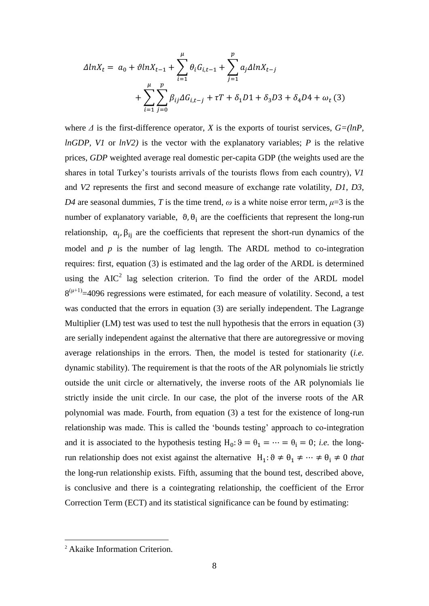$$
\Delta lnX_t = a_0 + \vartheta lnX_{t-1} + \sum_{i=1}^{\mu} \theta_i G_{i,t-1} + \sum_{j=1}^{\nu} a_j \Delta lnX_{t-j} + \sum_{i=1}^{\mu} \sum_{j=0}^{\nu} \beta_{ij} \Delta G_{i,t-j} + \tau T + \delta_1 D1 + \delta_3 D3 + \delta_4 D4 + \omega_t (3)
$$

where  $\Delta$  is the first-difference operator,  $X$  is the exports of tourist services,  $G=(ln P,$ *lnGDP, V1* or *lnV2)* is the vector with the explanatory variables; *P* is the relative prices, *GDP* weighted average real domestic per-capita GDP (the weights used are the shares in total Turkey's tourists arrivals of the tourists flows from each country), *V1* and *V2* represents the first and second measure of exchange rate volatility, *D1*, *D3*, *D4* are seasonal dummies, *T* is the time trend,  $\omega$  is a white noise error term,  $\mu=3$  is the number of explanatory variable,  $\vartheta$ ,  $\theta_i$  are the coefficients that represent the long-run relationship,  $\alpha_j$ ,  $\beta_{ij}$  are the coefficients that represent the short-run dynamics of the model and  $p$  is the number of lag length. The ARDL method to co-integration requires: first, equation (3) is estimated and the lag order of the ARDL is determined using the  $AIC^2$  lag selection criterion. To find the order of the ARDL model  $8^{(\mu+1)}$ =4096 regressions were estimated, for each measure of volatility. Second, a test was conducted that the errors in equation (3) are serially independent. The Lagrange Multiplier (LM) test was used to test the null hypothesis that the errors in equation (3) are serially independent against the alternative that there are autoregressive or moving average relationships in the errors. Then, the model is tested for stationarity (*i.e.* dynamic stability). The requirement is that the roots of the AR polynomials lie strictly outside the unit circle or alternatively, the inverse roots of the AR polynomials lie strictly inside the unit circle. In our case, the plot of the inverse roots of the AR polynomial was made. Fourth, from equation (3) a test for the existence of long-run relationship was made. This is called the 'bounds testing' approach to co-integration and it is associated to the hypothesis testing  $H_0: 9 = \theta_1 = \cdots = \theta_i = 0$ ; *i.e.* the longrun relationship does not exist against the alternative  $H_1: \vartheta \neq \theta_1 \neq \cdots \neq \theta_i \neq 0$  that the long-run relationship exists. Fifth, assuming that the bound test, described above, is conclusive and there is a cointegrating relationship, the coefficient of the Error Correction Term (ECT) and its statistical significance can be found by estimating:

1

<sup>2</sup> Akaike Information Criterion.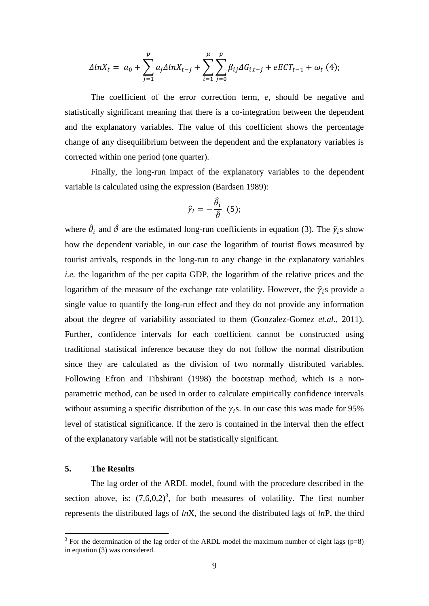$$
\Delta ln X_t = a_0 + \sum_{j=1}^p a_j \Delta ln X_{t-j} + \sum_{i=1}^\mu \sum_{j=0}^p \beta_{ij} \Delta G_{i,t-j} + eECT_{t-1} + \omega_t (4);
$$

The coefficient of the error correction term, *e*, should be negative and statistically significant meaning that there is a co-integration between the dependent and the explanatory variables. The value of this coefficient shows the percentage change of any disequilibrium between the dependent and the explanatory variables is corrected within one period (one quarter).

Finally, the long-run impact of the explanatory variables to the dependent variable is calculated using the expression (Bardsen 1989):

$$
\hat{\gamma}_i = -\frac{\hat{\theta}_i}{\hat{\vartheta}} \ \ (5);
$$

where  $\hat{\theta}_i$  and  $\hat{\theta}$  are the estimated long-run coefficients in equation (3). The  $\hat{\gamma}_i$ s show how the dependent variable, in our case the logarithm of tourist flows measured by tourist arrivals, responds in the long-run to any change in the explanatory variables *i.e.* the logarithm of the per capita GDP, the logarithm of the relative prices and the logarithm of the measure of the exchange rate volatility. However, the  $\hat{\gamma}_i$ s provide a single value to quantify the long-run effect and they do not provide any information about the degree of variability associated to them (Gonzalez-Gomez *et.al.*, 2011). Further, confidence intervals for each coefficient cannot be constructed using traditional statistical inference because they do not follow the normal distribution since they are calculated as the division of two normally distributed variables. Following Efron and Tibshirani (1998) the bootstrap method, which is a nonparametric method, can be used in order to calculate empirically confidence intervals without assuming a specific distribution of the  $\gamma_i$ s. In our case this was made for 95% level of statistical significance. If the zero is contained in the interval then the effect of the explanatory variable will not be statistically significant.

# **5. The Results**

1

The lag order of the ARDL model, found with the procedure described in the section above, is:  $(7,6,0,2)^3$ , for both measures of volatility. The first number represents the distributed lags of *ln*X, the second the distributed lags of *ln*P, the third

<sup>&</sup>lt;sup>3</sup> For the determination of the lag order of the ARDL model the maximum number of eight lags ( $p=8$ ) in equation (3) was considered.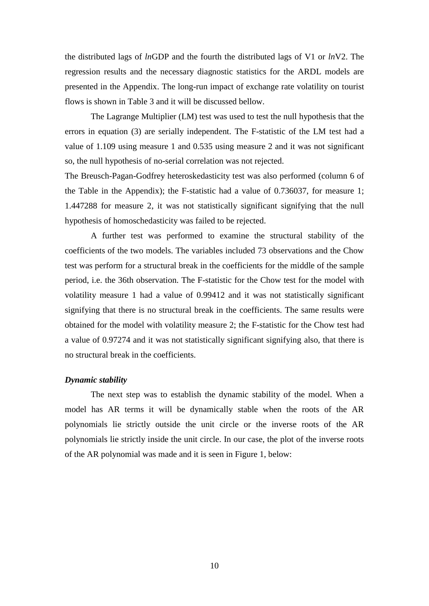the distributed lags of *ln*GDP and the fourth the distributed lags of V1 or *ln*V2. The regression results and the necessary diagnostic statistics for the ARDL models are presented in the Appendix. The long-run impact of exchange rate volatility on tourist flows is shown in Table 3 and it will be discussed bellow.

The Lagrange Multiplier (LM) test was used to test the null hypothesis that the errors in equation (3) are serially independent. The F-statistic of the LM test had a value of 1.109 using measure 1 and 0.535 using measure 2 and it was not significant so, the null hypothesis of no-serial correlation was not rejected.

The Breusch-Pagan-Godfrey heteroskedasticity test was also performed (column 6 of the Table in the Appendix); the F-statistic had a value of 0.736037, for measure 1; 1.447288 for measure 2, it was not statistically significant signifying that the null hypothesis of homoschedasticity was failed to be rejected.

A further test was performed to examine the structural stability of the coefficients of the two models. The variables included 73 observations and the Chow test was perform for a structural break in the coefficients for the middle of the sample period, i.e. the 36th observation. The F-statistic for the Chow test for the model with volatility measure 1 had a value of 0.99412 and it was not statistically significant signifying that there is no structural break in the coefficients. The same results were obtained for the model with volatility measure 2; the F-statistic for the Chow test had a value of 0.97274 and it was not statistically significant signifying also, that there is no structural break in the coefficients.

#### *Dynamic stability*

The next step was to establish the dynamic stability of the model. When a model has AR terms it will be dynamically stable when the roots of the AR polynomials lie strictly outside the unit circle or the inverse roots of the AR polynomials lie strictly inside the unit circle. In our case, the plot of the inverse roots of the AR polynomial was made and it is seen in Figure 1, below: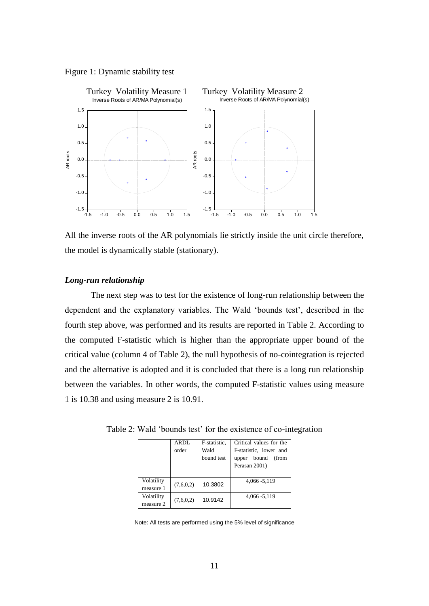



All the inverse roots of the AR polynomials lie strictly inside the unit circle therefore, the model is dynamically stable (stationary).

## *Long-run relationship*

The next step was to test for the existence of long-run relationship between the dependent and the explanatory variables. The Wald 'bounds test', described in the fourth step above, was performed and its results are reported in Table 2. According to the computed F-statistic which is higher than the appropriate upper bound of the critical value (column 4 of Table 2), the null hypothesis of no-cointegration is rejected and the alternative is adopted and it is concluded that there is a long run relationship between the variables. In other words, the computed F-statistic values using measure 1 is 10.38 and using measure 2 is 10.91.

|            | ARDL      | F-statistic. | Critical values for the |
|------------|-----------|--------------|-------------------------|
|            | order     | Wald         | F-statistic, lower and  |
|            |           | bound test   | bound<br>(from<br>upper |
|            |           |              | Perasan 2001)           |
|            |           |              |                         |
| Volatility | (7,6,0,2) | 10.3802      | 4,066 - 5,119           |
| measure 1  |           |              |                         |
| Volatility |           | 10.9142      | 4,066 - 5,119           |
| measure 2  | (7,6,0,2) |              |                         |

Table 2: Wald 'bounds test' for the existence of co-integration

Note: All tests are performed using the 5% level of significance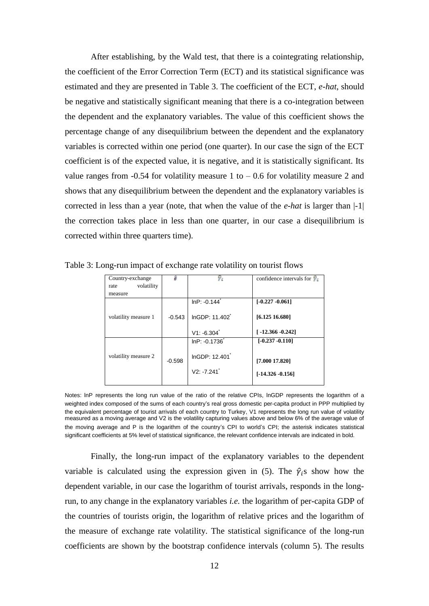After establishing, by the Wald test, that there is a cointegrating relationship, the coefficient of the Error Correction Term (ECT) and its statistical significance was estimated and they are presented in Table 3. The coefficient of the ECT, *e-hat*, should be negative and statistically significant meaning that there is a co-integration between the dependent and the explanatory variables. The value of this coefficient shows the percentage change of any disequilibrium between the dependent and the explanatory variables is corrected within one period (one quarter). In our case the sign of the ECT coefficient is of the expected value, it is negative, and it is statistically significant. Its value ranges from  $-0.54$  for volatility measure 1 to  $-0.6$  for volatility measure 2 and shows that any disequilibrium between the dependent and the explanatory variables is corrected in less than a year (note, that when the value of the *e-hat* is larger than |-1| the correction takes place in less than one quarter, in our case a disequilibrium is corrected within three quarters time).

| Country-exchange<br>volatility<br>rate<br>measure |          |                            | confidence intervals for $\hat{y}_i$  |
|---------------------------------------------------|----------|----------------------------|---------------------------------------|
|                                                   |          |                            |                                       |
|                                                   |          | $InP: -0.144$              | $[-0.227 - 0.061]$                    |
| volatility measure 1                              | $-0.543$ | InGDP: 11.402              | [6.12516.680]                         |
|                                                   |          | $V1: -6.304$               | $[-12.366 - 0.242]$                   |
|                                                   |          | $InP: -0.1736$             | $[-0.237 - 0.110]$                    |
| volatility measure 2                              | $-0.598$ | InGDP: 12.401<br>V2: 7.241 | [7.000 17.820]<br>$[-14.326 - 0.156]$ |

Table 3: Long-run impact of exchange rate volatility on tourist flows

Notes: lnP represents the long run value of the ratio of the relative CPIs, lnGDP represents the logarithm of a weighted index composed of the sums of each country's real gross domestic per-capita product in PPP multiplied by the equivalent percentage of tourist arrivals of each country to Turkey, V1 represents the long run value of volatility measured as a moving average and V2 is the volatility capturing values above and below 6% of the average value of the moving average and P is the logarithm of the country's CPI to world's CPI; the asterisk indicates statistical significant coefficients at 5% level of statistical significance, the relevant confidence intervals are indicated in bold.

Finally, the long-run impact of the explanatory variables to the dependent variable is calculated using the expression given in (5). The  $\hat{\gamma}_i$ s show how the dependent variable, in our case the logarithm of tourist arrivals, responds in the longrun, to any change in the explanatory variables *i.e.* the logarithm of per-capita GDP of the countries of tourists origin, the logarithm of relative prices and the logarithm of the measure of exchange rate volatility. The statistical significance of the long-run coefficients are shown by the bootstrap confidence intervals (column 5). The results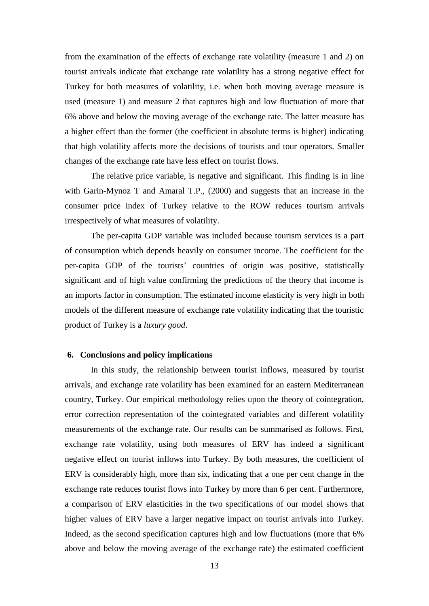from the examination of the effects of exchange rate volatility (measure 1 and 2) on tourist arrivals indicate that exchange rate volatility has a strong negative effect for Turkey for both measures of volatility, i.e. when both moving average measure is used (measure 1) and measure 2 that captures high and low fluctuation of more that 6% above and below the moving average of the exchange rate. The latter measure has a higher effect than the former (the coefficient in absolute terms is higher) indicating that high volatility affects more the decisions of tourists and tour operators. Smaller changes of the exchange rate have less effect on tourist flows.

The relative price variable, is negative and significant. This finding is in line with Garin-Mynoz T and Amaral T.P., (2000) and suggests that an increase in the consumer price index of Turkey relative to the ROW reduces tourism arrivals irrespectively of what measures of volatility.

The per-capita GDP variable was included because tourism services is a part of consumption which depends heavily on consumer income. The coefficient for the per-capita GDP of the tourists' countries of origin was positive, statistically significant and of high value confirming the predictions of the theory that income is an imports factor in consumption. The estimated income elasticity is very high in both models of the different measure of exchange rate volatility indicating that the touristic product of Turkey is a *luxury good*.

## **6. Conclusions and policy implications**

In this study, the relationship between tourist inflows, measured by tourist arrivals, and exchange rate volatility has been examined for an eastern Mediterranean country, Turkey. Our empirical methodology relies upon the theory of cointegration, error correction representation of the cointegrated variables and different volatility measurements of the exchange rate. Our results can be summarised as follows. First, exchange rate volatility, using both measures of ERV has indeed a significant negative effect on tourist inflows into Turkey. By both measures, the coefficient of ERV is considerably high, more than six, indicating that a one per cent change in the exchange rate reduces tourist flows into Turkey by more than 6 per cent. Furthermore, a comparison of ERV elasticities in the two specifications of our model shows that higher values of ERV have a larger negative impact on tourist arrivals into Turkey. Indeed, as the second specification captures high and low fluctuations (more that 6% above and below the moving average of the exchange rate) the estimated coefficient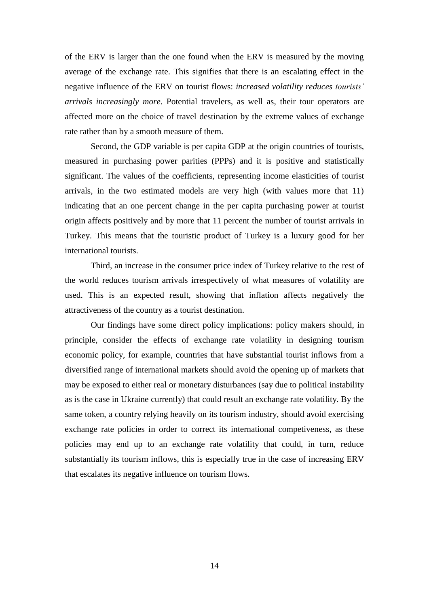of the ERV is larger than the one found when the ERV is measured by the moving average of the exchange rate. This signifies that there is an escalating effect in the negative influence of the ERV on tourist flows: *increased volatility reduces tourists' arrivals increasingly more*. Potential travelers, as well as, their tour operators are affected more on the choice of travel destination by the extreme values of exchange rate rather than by a smooth measure of them.

Second, the GDP variable is per capita GDP at the origin countries of tourists, measured in purchasing power parities (PPPs) and it is positive and statistically significant. The values of the coefficients, representing income elasticities of tourist arrivals, in the two estimated models are very high (with values more that 11) indicating that an one percent change in the per capita purchasing power at tourist origin affects positively and by more that 11 percent the number of tourist arrivals in Turkey. This means that the touristic product of Turkey is a luxury good for her international tourists.

Third, an increase in the consumer price index of Turkey relative to the rest of the world reduces tourism arrivals irrespectively of what measures of volatility are used. This is an expected result, showing that inflation affects negatively the attractiveness of the country as a tourist destination.

Our findings have some direct policy implications: policy makers should, in principle, consider the effects of exchange rate volatility in designing tourism economic policy, for example, countries that have substantial tourist inflows from a diversified range of international markets should avoid the opening up of markets that may be exposed to either real or monetary disturbances (say due to political instability as is the case in Ukraine currently) that could result an exchange rate volatility. By the same token, a country relying heavily on its tourism industry, should avoid exercising exchange rate policies in order to correct its international competiveness, as these policies may end up to an exchange rate volatility that could, in turn, reduce substantially its tourism inflows, this is especially true in the case of increasing ERV that escalates its negative influence on tourism flows.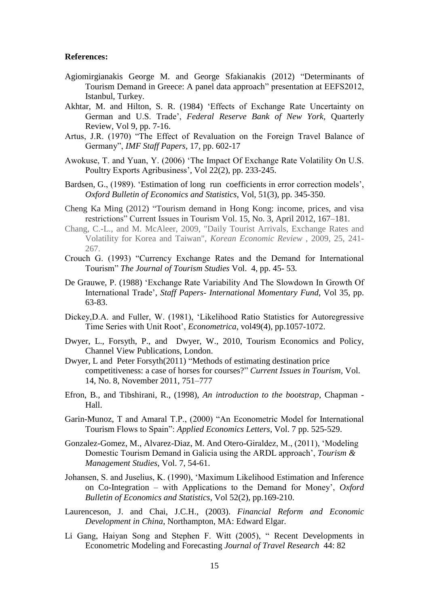#### **References:**

- Agiomirgianakis George M. and George Sfakianakis (2012) "Determinants of Tourism Demand in Greece: A panel data approach" presentation at EEFS2012, Istanbul, Turkey.
- Akhtar, M. and Hilton, S. R. (1984) 'Effects of Exchange Rate Uncertainty on German and U.S. Trade', *Federal Reserve Bank of New York,* Quarterly Review, Vol 9, pp. 7-16.
- Artus, J.R. (1970) "The Effect of Revaluation on the Foreign Travel Balance of Germany", *IMF Staff Papers*, 17, pp. 602-17
- Awokuse, T. and Yuan, Y. (2006) 'The Impact Of Exchange Rate Volatility On U.S. Poultry Exports Agribusiness'*,* Vol 22(2), pp. 233-245.
- Bardsen, G., (1989). 'Estimation of long run coefficients in error correction models', *Oxford Bulletin of Economics and Statistics*, Vol, 51(3), pp. 345-350.
- Cheng Ka Ming (2012) "Tourism demand in Hong Kong: income, prices, and visa restrictions" Current Issues in Tourism Vol. 15, No. 3, April 2012, 167–181.
- Chang, C.-L., and M. McAleer, 2009, "Daily Tourist Arrivals, Exchange Rates and Volatility for Korea and Taiwan", *Korean Economic Review* , 2009, 25, 241- 267.
- Crouch G. (1993) "Currency Exchange Rates and the Demand for International Tourism" *The Journal of Tourism Studies* Vol. 4, pp. 45- 53*.*
- De Grauwe, P. (1988) 'Exchange Rate Variability And The Slowdown In Growth Of International Trade'*, Staff Papers- International Momentary Fund*, Vol 35, pp. 63-83.
- Dickey,D.A. and Fuller, W. (1981), 'Likelihood Ratio Statistics for Autoregressive Time Series with Unit Root', *Econometrica*, vol49(4), pp.1057-1072.
- Dwyer, L., Forsyth, P., and Dwyer, W., 2010, Tourism Economics and Policy, Channel View Publications, London.
- Dwyer, L and Peter Forsyth(2011) "Methods of estimating destination price competitiveness: a case of horses for courses?" *Current Issues in Tourism,* Vol. 14, No. 8, November 2011, 751–777
- Efron, B., and Tibshirani, R., (1998), *An introduction to the bootstrap*, Chapman Hall.
- Garin-Munoz, T and Amaral T.P., (2000) "An Econometric Model for International Tourism Flows to Spain": *Applied Economics Letters*, Vol. 7 pp. 525-529.
- Gonzalez-Gomez, M., Alvarez-Diaz, M. And Otero-Giraldez, M., (2011), 'Modeling Domestic Tourism Demand in Galicia using the ARDL approach', *Tourism & Management Studies*, Vol. 7, 54-61.
- Johansen, S. and Juselius, K. (1990), 'Maximum Likelihood Estimation and Inference on Co-Integration – with Applications to the Demand for Money', *Oxford Bulletin of Economics and Statistics*, Vol 52(2), pp.169-210.
- Laurenceson, J. and Chai, J.C.H., (2003). *Financial Reform and Economic Development in China*, Northampton, MA: Edward Elgar.
- Li Gang, Haiyan Song and Stephen F. Witt (2005), " Recent Developments in Econometric Modeling and Forecasting *Journal of Travel Research* 44: 82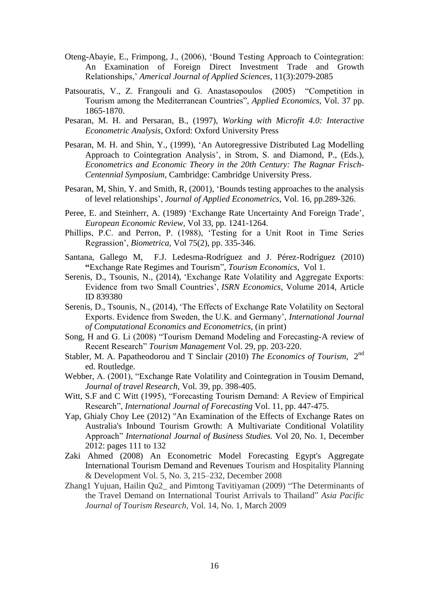- Oteng-Abayie, E., Frimpong, J., (2006), 'Bound Testing Approach to Cointegration: An Examination of Foreign Direct Investment Trade and Growth Relationships,' *Americal Journal of Applied Sciences*, 11(3):2079-2085
- Patsouratis, V., Z. Frangouli and G. Anastasopoulos (2005) "Competition in Tourism among the Mediterranean Countries", *Applied Economics*, Vol. 37 pp. 1865-1870.
- Pesaran, M. H. and Persaran, B., (1997), *Working with Microfit 4.0: Interactive Econometric Analysis*, Oxford: Oxford University Press
- Pesaran, M. H. and Shin, Y., (1999), 'An Autoregressive Distributed Lag Modelling Approach to Cointegration Analysis', in Strom, S. and Diamond, P., (Eds.), *Econometrics and Economic Theory in the 20th Century: The Ragnar Frisch-Centennial Symposium*, Cambridge: Cambridge University Press.
- Pesaran, M, Shin, Y. and Smith, R, (2001), 'Bounds testing approaches to the analysis of level relationships', *Journal of Applied Econometrics*, Vol. 16, pp.289-326.
- Peree, E. and Steinherr, A. (1989) 'Exchange Rate Uncertainty And Foreign Trade'*, European Economic Review,* Vol 33, pp. 1241-1264.
- Phillips, P.C. and Perron, P. (1988), 'Testing for a Unit Root in Time Series Regrassion', *Biometrica*, Vol 75(2), pp. 335-346.
- Santana, Gallego M, F.J. Ledesma-Rodríguez and J. Pérez-Rodríguez (2010) **"**Exchange Rate Regimes and Tourism", *Tourism Economics,* Vol 1.
- Serenis, D., Tsounis, N., (2014), 'Exchange Rate Volatility and Aggregate Exports: Evidence from two Small Countries', *ISRN Economics*, Volume 2014, Article ID 839380
- Serenis, D., Tsounis, N., (2014), 'The Effects of Exchange Rate Volatility on Sectoral Exports. Evidence from Sweden, the U.K. and Germany', *International Journal of Computational Economics and Econometrics*, (in print)
- Song, H and G. Li (2008) "Tourism Demand Modeling and Forecasting-A review of Recent Research" *Tourism Management* Vol. 29, pp. 203-220.
- Stabler, M. A. Papatheodorou and T Sinclair (2010) *The Economics of Tourism*, 2<sup>nd</sup> ed. Routledge.
- Webber, A. (2001), "Exchange Rate Volatility and Cointegration in Tousim Demand, *Journal of travel Research,* Vol. 39, pp. 398-405.
- Witt, S.F and C Witt (1995), "Forecasting Tourism Demand: A Review of Empirical Research", *International Journal of Forecasting* Vol. 11, pp. 447-475.
- Yap, Ghialy Choy Lee (2012) "An Examination of the Effects of Exchange Rates on Australia's Inbound Tourism Growth: A Multivariate Conditional Volatility Approach" *International Journal of Business Studies.* Vol 20, No. 1, December 2012: pages 111 to 132
- Zaki Ahmed (2008) An Econometric Model Forecasting Egypt's Aggregate International Tourism Demand and Revenues Tourism and Hospitality Planning & Development Vol. 5, No. 3, 215–232, December 2008
- Zhang1 Yujuan, Hailin Qu2\_ and Pimtong Tavitiyaman (2009) "The Determinants of the Travel Demand on International Tourist Arrivals to Thailand" *Asia Pacific Journal of Tourism Research*, Vol. 14, No. 1, March 2009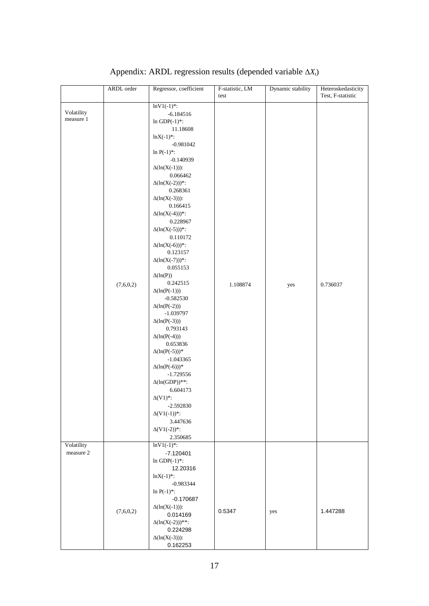|                         | ARDL order | Regressor, coefficient                                                                                                                                                                                                                                                                                                                                                                                                                                                                                                                                                                                                                                                                                                                                                                                                                            | F-statistic, LM | Dynamic stability | Heteroskedasticity |
|-------------------------|------------|---------------------------------------------------------------------------------------------------------------------------------------------------------------------------------------------------------------------------------------------------------------------------------------------------------------------------------------------------------------------------------------------------------------------------------------------------------------------------------------------------------------------------------------------------------------------------------------------------------------------------------------------------------------------------------------------------------------------------------------------------------------------------------------------------------------------------------------------------|-----------------|-------------------|--------------------|
|                         |            |                                                                                                                                                                                                                                                                                                                                                                                                                                                                                                                                                                                                                                                                                                                                                                                                                                                   | test            |                   | Test, F-statistic  |
| Volatility<br>measure 1 | (7,6,0,2)  | $lnV1(-1)$ *:<br>$-6.184516$<br>In GDP $(-1)^*$ :<br>11.18608<br>$lnX(-1)$ .<br>$-0.981042$<br>$ln P(-1)$ *:<br>$-0.140939$<br>$\Delta(\ln(X(-1)))$ :<br>0.066462<br>$\Delta(\ln(X(-2)))^*$ :<br>0.268361<br>$\Delta(\ln(X(-3)))$ :<br>0.166415<br>$\Delta(\ln(X(-4)))^*$ :<br>0.228967<br>$\Delta(\ln(X(-5)))^*$ :<br>0.110172<br>$\Delta(\ln(X(-6)))^*$ :<br>0.123157<br>$\Delta(\ln(X(-7)))^*$ :<br>0.055153<br>$\Delta(\ln(P))$<br>0.242515<br>$\Delta(\ln(P(-1)))$<br>$-0.582530$<br>$\Delta(\ln(P(-2)))$<br>$-1.039797$<br>$\Delta(\ln(P(-3)))$<br>0.793143<br>$\Delta(ln(P(-4)))$<br>0.653836<br>$\Delta(\ln(P(-5)))^*$<br>$-1.043365$<br>$\Delta(\ln(P(-6)))^*$<br>$-1.729556$<br>$\Delta(\ln(\mathrm{GDP}))^{**}$ :<br>6.604173<br>$\Delta(V1)^*$ :<br>$-2.592830$<br>$\Delta(V1(-1))$ *:<br>3.447636<br>$\Delta(V1(-2))$ *:<br>2.350685 | 1.108874        | yes               | 0.736037           |
| Volatility<br>measure 2 | (7,6,0,2)  | $lnV1(-1)$ *:<br>$-7.120401$<br>In GDP $(-1)^*$ :<br>12.20316<br>$lnX(-1)$ *:<br>$-0.983344$<br>$ln P(-1)^*$ :<br>$-0.170687$<br>$\Delta(\ln(X(-1)))$ :<br>0.014169<br>$\Delta(\ln(X(-2)))^{**}:$<br>0.224298<br>$\Delta(\ln(X(-3)))$ :<br>0.162253                                                                                                                                                                                                                                                                                                                                                                                                                                                                                                                                                                                               | 0.5347          | yes               | 1.447288           |

# Appendix: ARDL regression results (depended variable Δ*Xt*)